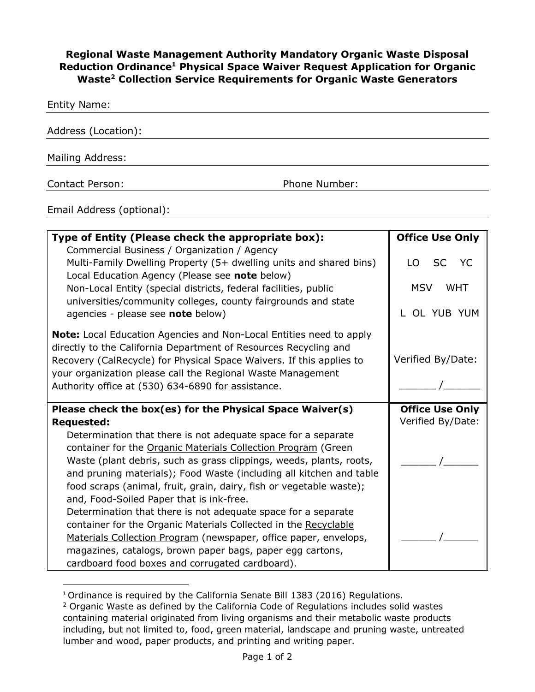## **Regional Waste Management Authority Mandatory Organic Waste Disposal Reduction Ordinance1 Physical Space Waiver Request Application for Organic Waste2 Collection Service Requirements for Organic Waste Generators**

| Phone Number: |
|---------------|
|               |

Email Address (optional):

| Type of Entity (Please check the appropriate box):                         | <b>Office Use Only</b>  |
|----------------------------------------------------------------------------|-------------------------|
| Commercial Business / Organization / Agency                                |                         |
| Multi-Family Dwelling Property (5+ dwelling units and shared bins)         | SC YC<br>$\overline{O}$ |
| Local Education Agency (Please see note below)                             |                         |
| Non-Local Entity (special districts, federal facilities, public            | <b>MSV</b><br>WHT       |
| universities/community colleges, county fairgrounds and state              |                         |
| agencies - please see note below)                                          | OL YUB YUM              |
|                                                                            |                         |
| <b>Note:</b> Local Education Agencies and Non-Local Entities need to apply |                         |
| directly to the California Department of Resources Recycling and           |                         |
| Recovery (CalRecycle) for Physical Space Waivers. If this applies to       | Verified By/Date:       |
| your organization please call the Regional Waste Management                |                         |
| Authority office at (530) 634-6890 for assistance.                         |                         |
|                                                                            |                         |
|                                                                            |                         |
| Please check the box(es) for the Physical Space Waiver(s)                  | <b>Office Use Only</b>  |
| <b>Requested:</b>                                                          | Verified By/Date:       |
| Determination that there is not adequate space for a separate              |                         |
| container for the Organic Materials Collection Program (Green              |                         |
| Waste (plant debris, such as grass clippings, weeds, plants, roots,        |                         |
| and pruning materials); Food Waste (including all kitchen and table        |                         |
| food scraps (animal, fruit, grain, dairy, fish or vegetable waste);        |                         |
| and, Food-Soiled Paper that is ink-free.                                   |                         |
| Determination that there is not adequate space for a separate              |                         |
| container for the Organic Materials Collected in the Recyclable            |                         |
| Materials Collection Program (newspaper, office paper, envelops,           |                         |
| magazines, catalogs, brown paper bags, paper egg cartons,                  |                         |

<sup>&</sup>lt;sup>1</sup> Ordinance is required by the California Senate Bill 1383 (2016) Regulations.

<sup>&</sup>lt;sup>2</sup> Organic Waste as defined by the California Code of Regulations includes solid wastes containing material originated from living organisms and their metabolic waste products including, but not limited to, food, green material, landscape and pruning waste, untreated lumber and wood, paper products, and printing and writing paper.